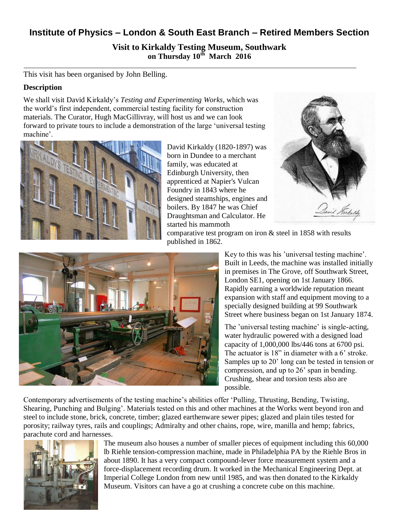## **Institute of Physics – London & South East Branch – Retired Members Section**

**Visit to Kirkaldy Testing Museum, Southwark on Thursday 10th March 2016**

This visit has been organised by John Belling.

## **Description**

We shall visit David Kirkaldy's *Testing and Experimenting Works*, which was the world's first independent, commercial testing facility for construction materials. The Curator, Hugh MacGillivray, will host us and we can look forward to private tours to include a demonstration of the large 'universal testing machine'.



David Kirkaldy (1820-1897) was born in Dundee to a merchant family, was educated at Edinburgh University, then apprenticed at Napier's Vulcan Foundry in 1843 where he designed steamships, engines and boilers. By 1847 he was Chief Draughtsman and Calculator. He started his mammoth



comparative test program on iron & steel in 1858 with results published in 1862.

> Key to this was his 'universal testing machine'. Built in Leeds, the machine was installed initially in premises in The Grove, off Southwark Street, London SE1, opening on 1st January 1866. Rapidly earning a worldwide reputation meant expansion with staff and equipment moving to a specially designed building at 99 Southwark Street where business began on 1st January 1874.

> The 'universal testing machine' is single-acting, water hydraulic powered with a designed load capacity of 1,000,000 lbs/446 tons at 6700 psi. The actuator is 18" in diameter with a 6' stroke. Samples up to 20' long can be tested in tension or compression, and up to 26' span in bending. Crushing, shear and torsion tests also are possible.

Contemporary advertisements of the testing machine's abilities offer 'Pulling, Thrusting, Bending, Twisting, Shearing, Punching and Bulging'. Materials tested on this and other machines at the Works went beyond iron and steel to include stone, brick, concrete, timber; glazed earthenware sewer pipes; glazed and plain tiles tested for porosity; railway tyres, rails and couplings; Admiralty and other chains, rope, wire, manilla and hemp; fabrics, parachute cord and harnesses.



The museum also houses a number of smaller pieces of equipment including this 60,000 lb Riehle tension-compression machine, made in Philadelphia PA by the Riehle Bros in about 1890. It has a very compact compound-lever force measurement system and a force-displacement recording drum. It worked in the Mechanical Engineering Dept. at Imperial College London from new until 1985, and was then donated to the Kirkaldy Museum. Visitors can have a go at crushing a concrete cube on this machine.